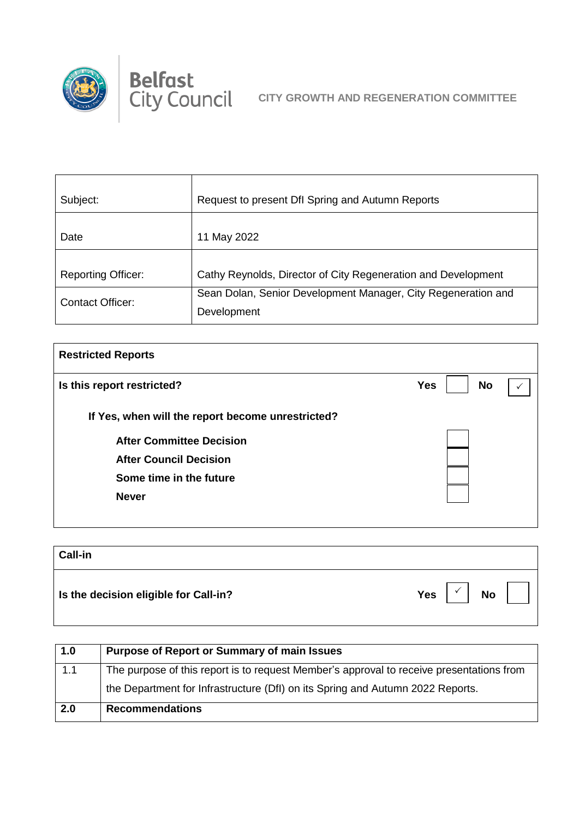

| Subject:                  | Request to present Dfl Spring and Autumn Reports              |
|---------------------------|---------------------------------------------------------------|
|                           |                                                               |
| Date                      | May 2022                                                      |
|                           |                                                               |
| <b>Reporting Officer:</b> | Cathy Reynolds, Director of City Regeneration and Development |
| <b>Contact Officer:</b>   | Sean Dolan, Senior Development Manager, City Regeneration and |
|                           | Development                                                   |

| <b>Restricted Reports</b>                         |                         |  |
|---------------------------------------------------|-------------------------|--|
| Is this report restricted?                        | <b>No</b><br><b>Yes</b> |  |
| If Yes, when will the report become unrestricted? |                         |  |
| <b>After Committee Decision</b>                   |                         |  |
| <b>After Council Decision</b>                     |                         |  |
| Some time in the future                           |                         |  |
| <b>Never</b>                                      |                         |  |
|                                                   |                         |  |

| <b>Call-in</b>                        |                         |
|---------------------------------------|-------------------------|
| Is the decision eligible for Call-in? | <b>Yes</b><br><b>No</b> |

| 1.0 | <b>Purpose of Report or Summary of main Issues</b>                                       |
|-----|------------------------------------------------------------------------------------------|
| 1.1 | The purpose of this report is to request Member's approval to receive presentations from |
|     | the Department for Infrastructure (DfI) on its Spring and Autumn 2022 Reports.           |
| 2.0 | <b>Recommendations</b>                                                                   |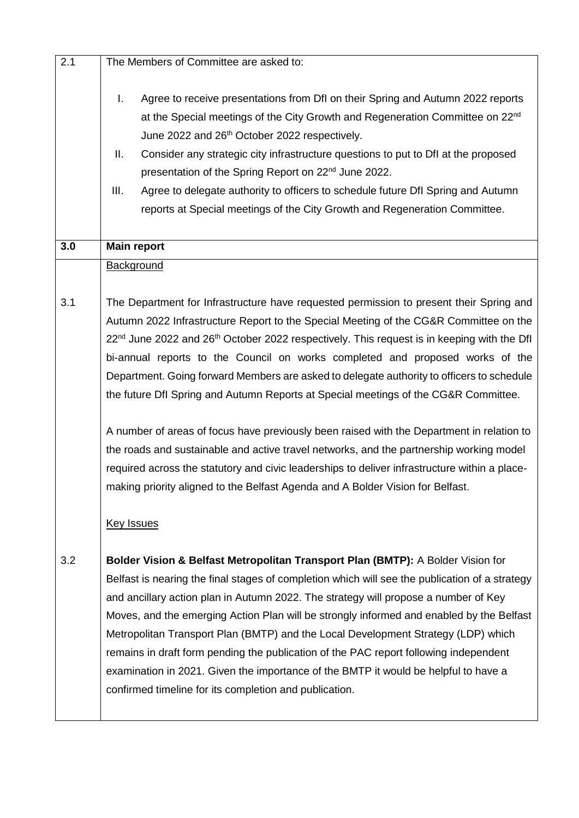| 2.1 | The Members of Committee are asked to:                                                                                                                                                                                                                                                                                                                                                                                                                                                                                                                                                                                                                                                              |
|-----|-----------------------------------------------------------------------------------------------------------------------------------------------------------------------------------------------------------------------------------------------------------------------------------------------------------------------------------------------------------------------------------------------------------------------------------------------------------------------------------------------------------------------------------------------------------------------------------------------------------------------------------------------------------------------------------------------------|
|     | Agree to receive presentations from DfI on their Spring and Autumn 2022 reports<br>I.<br>at the Special meetings of the City Growth and Regeneration Committee on 22 <sup>nd</sup><br>June 2022 and 26 <sup>th</sup> October 2022 respectively.<br>ΙΙ.<br>Consider any strategic city infrastructure questions to put to Dfl at the proposed<br>presentation of the Spring Report on 22 <sup>nd</sup> June 2022.<br>III.<br>Agree to delegate authority to officers to schedule future Dfl Spring and Autumn<br>reports at Special meetings of the City Growth and Regeneration Committee.                                                                                                          |
| 3.0 | <b>Main report</b>                                                                                                                                                                                                                                                                                                                                                                                                                                                                                                                                                                                                                                                                                  |
|     | <b>Background</b>                                                                                                                                                                                                                                                                                                                                                                                                                                                                                                                                                                                                                                                                                   |
| 3.1 | The Department for Infrastructure have requested permission to present their Spring and<br>Autumn 2022 Infrastructure Report to the Special Meeting of the CG&R Committee on the<br>22 <sup>nd</sup> June 2022 and 26 <sup>th</sup> October 2022 respectively. This request is in keeping with the Dfl<br>bi-annual reports to the Council on works completed and proposed works of the                                                                                                                                                                                                                                                                                                             |
|     | Department. Going forward Members are asked to delegate authority to officers to schedule<br>the future Dfl Spring and Autumn Reports at Special meetings of the CG&R Committee.                                                                                                                                                                                                                                                                                                                                                                                                                                                                                                                    |
|     | A number of areas of focus have previously been raised with the Department in relation to<br>the roads and sustainable and active travel networks, and the partnership working model<br>required across the statutory and civic leaderships to deliver infrastructure within a place-<br>making priority aligned to the Belfast Agenda and A Bolder Vision for Belfast.                                                                                                                                                                                                                                                                                                                             |
|     | <b>Key Issues</b>                                                                                                                                                                                                                                                                                                                                                                                                                                                                                                                                                                                                                                                                                   |
| 3.2 | Bolder Vision & Belfast Metropolitan Transport Plan (BMTP): A Bolder Vision for<br>Belfast is nearing the final stages of completion which will see the publication of a strategy<br>and ancillary action plan in Autumn 2022. The strategy will propose a number of Key<br>Moves, and the emerging Action Plan will be strongly informed and enabled by the Belfast<br>Metropolitan Transport Plan (BMTP) and the Local Development Strategy (LDP) which<br>remains in draft form pending the publication of the PAC report following independent<br>examination in 2021. Given the importance of the BMTP it would be helpful to have a<br>confirmed timeline for its completion and publication. |